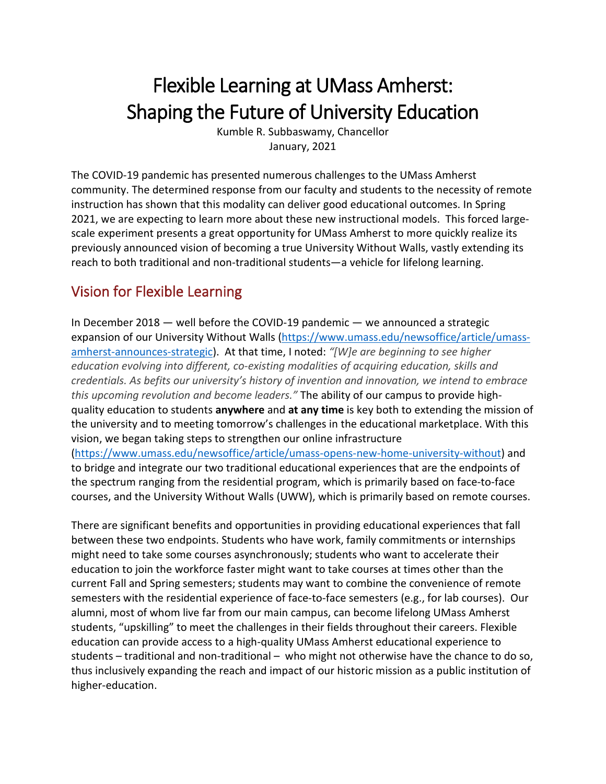# Flexible Learning at UMass Amherst: Shaping the Future of University Education

Kumble R. Subbaswamy, Chancellor January, 2021

The COVID-19 pandemic has presented numerous challenges to the UMass Amherst community. The determined response from our faculty and students to the necessity of remote instruction has shown that this modality can deliver good educational outcomes. In Spring 2021, we are expecting to learn more about these new instructional models. This forced largescale experiment presents a great opportunity for UMass Amherst to more quickly realize its previously announced vision of becoming a true University Without Walls, vastly extending its reach to both traditional and non-traditional students—a vehicle for lifelong learning.

# Vision for Flexible Learning

In December 2018 — well before the COVID-19 pandemic — we announced a strategic expansion of our University Without Walls [\(https://www.umass.edu/newsoffice/article/umass](https://www.umass.edu/newsoffice/article/umass-amherst-announces-strategic)[amherst-announces-strategic\)](https://www.umass.edu/newsoffice/article/umass-amherst-announces-strategic). At that time, I noted: *"[W]e are beginning to see higher education evolving into different, co-existing modalities of acquiring education, skills and credentials. As befits our university's history of invention and innovation, we intend to embrace this upcoming revolution and become leaders."* The ability of our campus to provide highquality education to students **anywhere** and **at any time** is key both to extending the mission of the university and to meeting tomorrow's challenges in the educational marketplace. With this vision, we began taking steps to strengthen our online infrastructure [\(https://www.umass.edu/newsoffice/article/umass-opens-new-home-university-without\)](https://www.umass.edu/newsoffice/article/umass-opens-new-home-university-without) and

to bridge and integrate our two traditional educational experiences that are the endpoints of the spectrum ranging from the residential program, which is primarily based on face-to-face courses, and the University Without Walls (UWW), which is primarily based on remote courses.

There are significant benefits and opportunities in providing educational experiences that fall between these two endpoints. Students who have work, family commitments or internships might need to take some courses asynchronously; students who want to accelerate their education to join the workforce faster might want to take courses at times other than the current Fall and Spring semesters; students may want to combine the convenience of remote semesters with the residential experience of face-to-face semesters (e.g., for lab courses). Our alumni, most of whom live far from our main campus, can become lifelong UMass Amherst students, "upskilling" to meet the challenges in their fields throughout their careers. Flexible education can provide access to a high-quality UMass Amherst educational experience to students – traditional and non-traditional – who might not otherwise have the chance to do so, thus inclusively expanding the reach and impact of our historic mission as a public institution of higher-education.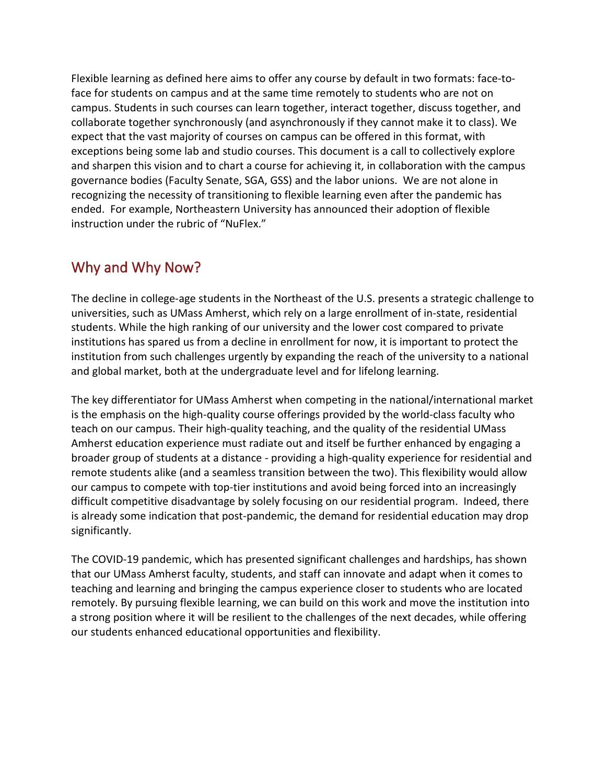Flexible learning as defined here aims to offer any course by default in two formats: face-toface for students on campus and at the same time remotely to students who are not on campus. Students in such courses can learn together, interact together, discuss together, and collaborate together synchronously (and asynchronously if they cannot make it to class). We expect that the vast majority of courses on campus can be offered in this format, with exceptions being some lab and studio courses. This document is a call to collectively explore and sharpen this vision and to chart a course for achieving it, in collaboration with the campus governance bodies (Faculty Senate, SGA, GSS) and the labor unions. We are not alone in recognizing the necessity of transitioning to flexible learning even after the pandemic has ended. For example, Northeastern University has announced their adoption of flexible instruction under the rubric of "NuFlex."

### Why and Why Now?

The decline in college-age students in the Northeast of the U.S. presents a strategic challenge to universities, such as UMass Amherst, which rely on a large enrollment of in-state, residential students. While the high ranking of our university and the lower cost compared to private institutions has spared us from a decline in enrollment for now, it is important to protect the institution from such challenges urgently by expanding the reach of the university to a national and global market, both at the undergraduate level and for lifelong learning.

The key differentiator for UMass Amherst when competing in the national/international market is the emphasis on the high-quality course offerings provided by the world-class faculty who teach on our campus. Their high-quality teaching, and the quality of the residential UMass Amherst education experience must radiate out and itself be further enhanced by engaging a broader group of students at a distance - providing a high-quality experience for residential and remote students alike (and a seamless transition between the two). This flexibility would allow our campus to compete with top-tier institutions and avoid being forced into an increasingly difficult competitive disadvantage by solely focusing on our residential program. Indeed, there is already some indication that post-pandemic, the demand for residential education may drop significantly.

The COVID-19 pandemic, which has presented significant challenges and hardships, has shown that our UMass Amherst faculty, students, and staff can innovate and adapt when it comes to teaching and learning and bringing the campus experience closer to students who are located remotely. By pursuing flexible learning, we can build on this work and move the institution into a strong position where it will be resilient to the challenges of the next decades, while offering our students enhanced educational opportunities and flexibility.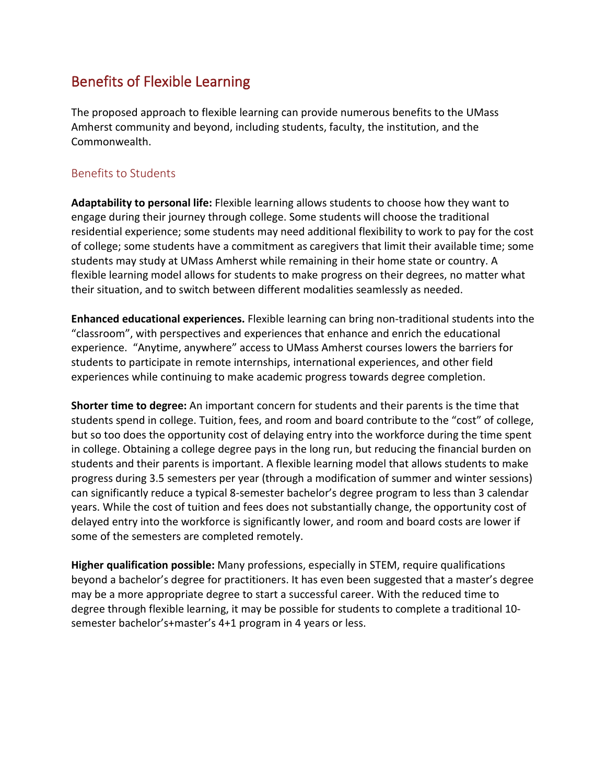## Benefits of Flexible Learning

The proposed approach to flexible learning can provide numerous benefits to the UMass Amherst community and beyond, including students, faculty, the institution, and the Commonwealth.

#### Benefits to Students

**Adaptability to personal life:** Flexible learning allows students to choose how they want to engage during their journey through college. Some students will choose the traditional residential experience; some students may need additional flexibility to work to pay for the cost of college; some students have a commitment as caregivers that limit their available time; some students may study at UMass Amherst while remaining in their home state or country. A flexible learning model allows for students to make progress on their degrees, no matter what their situation, and to switch between different modalities seamlessly as needed.

**Enhanced educational experiences.** Flexible learning can bring non-traditional students into the "classroom", with perspectives and experiences that enhance and enrich the educational experience. "Anytime, anywhere" access to UMass Amherst courses lowers the barriers for students to participate in remote internships, international experiences, and other field experiences while continuing to make academic progress towards degree completion.

**Shorter time to degree:** An important concern for students and their parents is the time that students spend in college. Tuition, fees, and room and board contribute to the "cost" of college, but so too does the opportunity cost of delaying entry into the workforce during the time spent in college. Obtaining a college degree pays in the long run, but reducing the financial burden on students and their parents is important. A flexible learning model that allows students to make progress during 3.5 semesters per year (through a modification of summer and winter sessions) can significantly reduce a typical 8-semester bachelor's degree program to less than 3 calendar years. While the cost of tuition and fees does not substantially change, the opportunity cost of delayed entry into the workforce is significantly lower, and room and board costs are lower if some of the semesters are completed remotely.

**Higher qualification possible:** Many professions, especially in STEM, require qualifications beyond a bachelor's degree for practitioners. It has even been suggested that a master's degree may be a more appropriate degree to start a successful career. With the reduced time to degree through flexible learning, it may be possible for students to complete a traditional 10 semester bachelor's+master's 4+1 program in 4 years or less.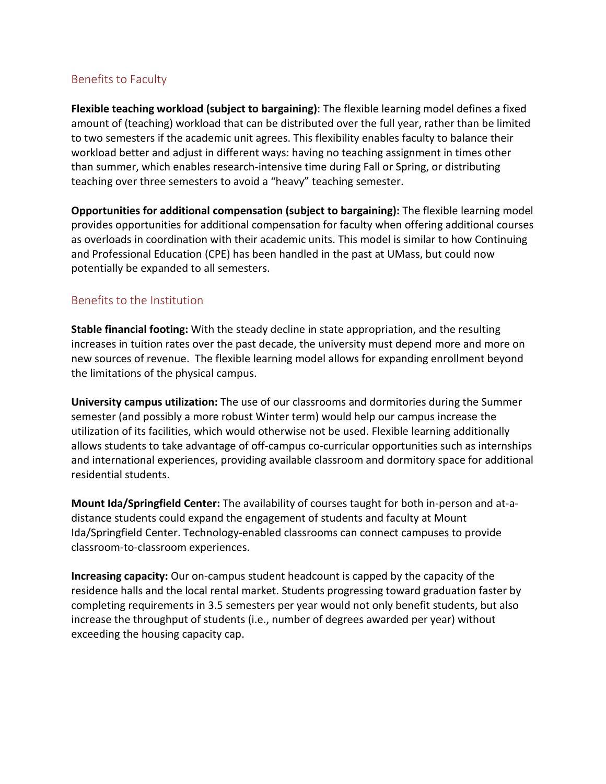#### Benefits to Faculty

**Flexible teaching workload (subject to bargaining)**: The flexible learning model defines a fixed amount of (teaching) workload that can be distributed over the full year, rather than be limited to two semesters if the academic unit agrees. This flexibility enables faculty to balance their workload better and adjust in different ways: having no teaching assignment in times other than summer, which enables research-intensive time during Fall or Spring, or distributing teaching over three semesters to avoid a "heavy" teaching semester.

**Opportunities for additional compensation (subject to bargaining):** The flexible learning model provides opportunities for additional compensation for faculty when offering additional courses as overloads in coordination with their academic units. This model is similar to how Continuing and Professional Education (CPE) has been handled in the past at UMass, but could now potentially be expanded to all semesters.

#### Benefits to the Institution

**Stable financial footing:** With the steady decline in state appropriation, and the resulting increases in tuition rates over the past decade, the university must depend more and more on new sources of revenue. The flexible learning model allows for expanding enrollment beyond the limitations of the physical campus.

**University campus utilization:** The use of our classrooms and dormitories during the Summer semester (and possibly a more robust Winter term) would help our campus increase the utilization of its facilities, which would otherwise not be used. Flexible learning additionally allows students to take advantage of off-campus co-curricular opportunities such as internships and international experiences, providing available classroom and dormitory space for additional residential students.

**Mount Ida/Springfield Center:** The availability of courses taught for both in-person and at-adistance students could expand the engagement of students and faculty at Mount Ida/Springfield Center. Technology-enabled classrooms can connect campuses to provide classroom-to-classroom experiences.

**Increasing capacity:** Our on-campus student headcount is capped by the capacity of the residence halls and the local rental market. Students progressing toward graduation faster by completing requirements in 3.5 semesters per year would not only benefit students, but also increase the throughput of students (i.e., number of degrees awarded per year) without exceeding the housing capacity cap.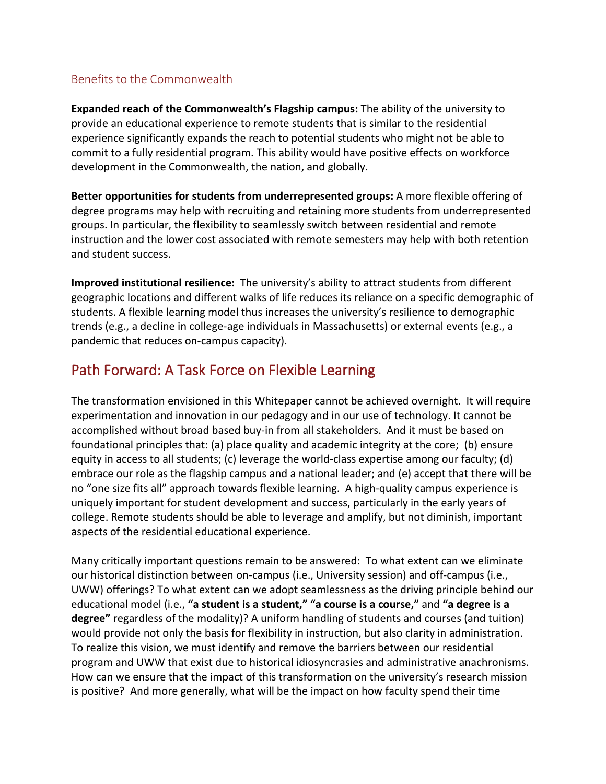#### Benefits to the Commonwealth

**Expanded reach of the Commonwealth's Flagship campus:** The ability of the university to provide an educational experience to remote students that is similar to the residential experience significantly expands the reach to potential students who might not be able to commit to a fully residential program. This ability would have positive effects on workforce development in the Commonwealth, the nation, and globally.

**Better opportunities for students from underrepresented groups:** A more flexible offering of degree programs may help with recruiting and retaining more students from underrepresented groups. In particular, the flexibility to seamlessly switch between residential and remote instruction and the lower cost associated with remote semesters may help with both retention and student success.

**Improved institutional resilience:** The university's ability to attract students from different geographic locations and different walks of life reduces its reliance on a specific demographic of students. A flexible learning model thus increases the university's resilience to demographic trends (e.g., a decline in college-age individuals in Massachusetts) or external events (e.g., a pandemic that reduces on-campus capacity).

# Path Forward: A Task Force on Flexible Learning

The transformation envisioned in this Whitepaper cannot be achieved overnight. It will require experimentation and innovation in our pedagogy and in our use of technology. It cannot be accomplished without broad based buy-in from all stakeholders. And it must be based on foundational principles that: (a) place quality and academic integrity at the core; (b) ensure equity in access to all students; (c) leverage the world-class expertise among our faculty; (d) embrace our role as the flagship campus and a national leader; and (e) accept that there will be no "one size fits all" approach towards flexible learning. A high-quality campus experience is uniquely important for student development and success, particularly in the early years of college. Remote students should be able to leverage and amplify, but not diminish, important aspects of the residential educational experience.

Many critically important questions remain to be answered: To what extent can we eliminate our historical distinction between on-campus (i.e., University session) and off-campus (i.e., UWW) offerings? To what extent can we adopt seamlessness as the driving principle behind our educational model (i.e., **"a student is a student," "a course is a course,"** and **"a degree is a degree"** regardless of the modality)? A uniform handling of students and courses (and tuition) would provide not only the basis for flexibility in instruction, but also clarity in administration. To realize this vision, we must identify and remove the barriers between our residential program and UWW that exist due to historical idiosyncrasies and administrative anachronisms. How can we ensure that the impact of this transformation on the university's research mission is positive? And more generally, what will be the impact on how faculty spend their time